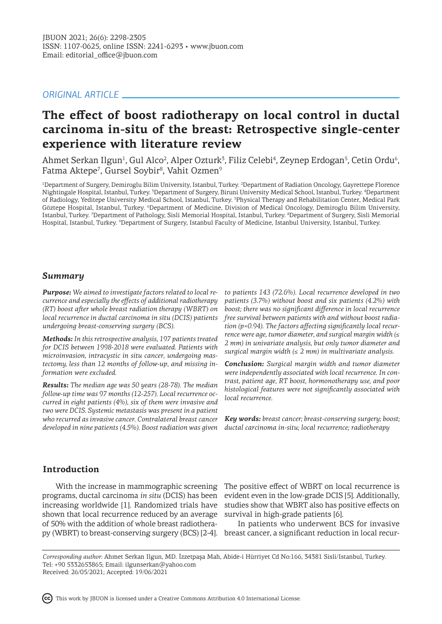# *ORIGINAL ARTICLE*

# **The effect of boost radiotherapy on local control in ductal carcinoma in-situ of the breast: Retrospective single-center experience with literature review**

Ahmet Serkan Ilgun<sup>1</sup>, Gul Alco<sup>2</sup>, Alper Ozturk<sup>3</sup>, Filiz Celebi<sup>4</sup>, Zeynep Erdogan<sup>5</sup>, Cetin Ordu<sup>6</sup>, Fatma Aktepe<sup>7</sup>, Gursel Soybir<sup>8</sup>, Vahit Ozmen<sup>9</sup>

1 Department of Surgery, Demiroglu Bilim University, Istanbul, Turkey. <sup>2</sup> Department of Radiation Oncology, Gayrettepe Florence Nightingale Hospital, Istanbul, Turkey. <sup>3</sup> Department of Surgery, Biruni University Medical School, Istanbul, Turkey. <sup>4</sup> Department of Radiology, Yeditepe University Medical School, Istanbul, Turkey. <sup>5</sup> Physical Therapy and Rehabilitation Center, Medical Park Göztepe Hospital, Istanbul, Turkey. <sup>6</sup>Department of Medicine, Division of Medical Oncology, Demiroglu Bilim University, Istanbul, Turkey. <sup>7</sup> Department of Pathology, Sisli Memorial Hospital, Istanbul, Turkey. <sup>8</sup> Department of Surgery, Sisli Memorial Hospital, Istanbul, Turkey. °Department of Surgery, Istanbul Faculty of Medicine, Istanbul University, Istanbul, Turkey.

## *Summary*

*Purpose: We aimed to investigate factors related to local recurrence and especially the effects of additional radiotherapy (RT) boost after whole breast radiation therapy (WBRT) on local recurrence in ductal carcinoma in situ (DCIS) patients undergoing breast-conserving surgery (BCS).* 

*Methods: In this retrospective analysis, 197 patients treated for DCIS between 1998-2018 were evaluated. Patients with microinvasion, intracystic in situ cancer, undergoing mastectomy, less than 12 months of follow-up, and missing information were excluded.* 

*Results: The median age was 50 years (28-78). The median follow-up time was 97 months (12-257). Local recurrence occurred in eight patients (4%), six of them were invasive and two were DCIS. Systemic metastasis was present in a patient who recurred as invasive cancer. Contralateral breast cancer developed in nine patients (4.5%). Boost radiation was given* 

*to patients 143 (72.6%). Local recurrence developed in two patients (3.7%) without boost and six patients (4.2%) with boost; there was no significant difference in local recurrence free survival between patients with and without boost radiation (p=0.94). The factors affecting significantly local recurrence were age, tumor diameter, and surgical margin width (≤ 2 mm) in univariate analysis, but only tumor diameter and surgical margin width (≤ 2 mm) in multivariate analysis.*

*Conclusion: Surgical margin width and tumor diameter were independently associated with local recurrence. In contrast, patient age, RT boost, hormonotherapy use, and poor histological features were not significantly associated with local recurrence.*

*Key words: breast cancer; breast-conserving surgery; boost; ductal carcinoma in-situ; local recurrence; radiotherapy*

# **Introduction**

With the increase in mammographic screening programs, ductal carcinoma *in situ* (DCIS) has been increasing worldwide [1]. Randomized trials have shown that local recurrence reduced by an average of 50% with the addition of whole breast radiothera-

The positive effect of WBRT on local recurrence is evident even in the low-grade DCIS [5]. Additionally, studies show that WBRT also has positive effects on survival in high-grade patients [6].

py (WBRT) to breast-conserving surgery (BCS) [2-4]. breast cancer, a significant reduction in local recur-In patients who underwent BCS for invasive

*Corresponding author:* Ahmet Serkan Ilgun, MD. İzzetpaşa Mah, Abide-i Hürriyet Cd No:166, 34381 Sisli/Istanbul, Turkey. Tel: +90 5332653865; Email: ilgunserkan@yahoo.com Received: 26/05/2021; Accepted: 19/06/2021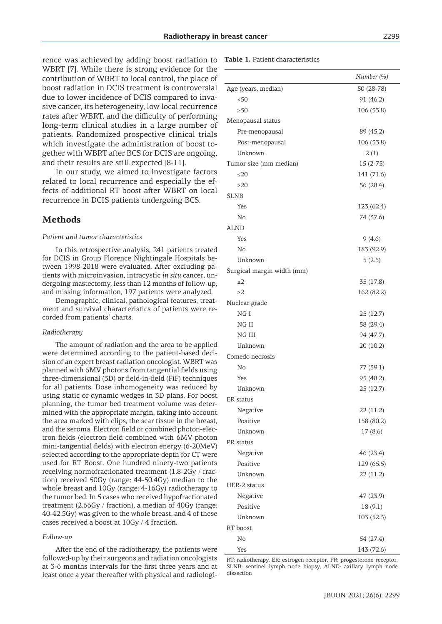rence was achieved by adding boost radiation to WBRT [7]. While there is strong evidence for the contribution of WBRT to local control, the place of boost radiation in DCIS treatment is controversial due to lower incidence of DCIS compared to invasive cancer, its heterogeneity, low local recurrence rates after WBRT, and the difficulty of performing long-term clinical studies in a large number of patients. Randomized prospective clinical trials which investigate the administration of boost together with WBRT after BCS for DCIS are ongoing, and their results are still expected [8-11].

In our study, we aimed to investigate factors related to local recurrence and especially the effects of additional RT boost after WBRT on local recurrence in DCIS patients undergoing BCS.

### **Methods**

#### *Patient and tumor characteristics*

In this retrospective analysis, 241 patients treated for DCIS in Group Florence Nightingale Hospitals between 1998-2018 were evaluated. After excluding patients with microinvasion, intracystic *in situ* cancer, undergoing mastectomy, less than 12 months of follow-up, and missing information, 197 patients were analyzed.

Demographic, clinical, pathological features, treatment and survival characteristics of patients were recorded from patients' charts.

#### *Radiotherapy*

The amount of radiation and the area to be applied were determined according to the patient-based decision of an expert breast radiation oncologist. WBRT was planned with 6MV photons from tangential fields using three-dimensional (3D) or field-in-field (FiF) techniques for all patients. Dose inhomogeneity was reduced by using static or dynamic wedges in 3D plans. For boost planning, the tumor bed treatment volume was determined with the appropriate margin, taking into account the area marked with clips, the scar tissue in the breast, and the seroma. Electron field or combined photon-electron fields (electron field combined with 6MV photon mini-tangential fields) with electron energy (6-20MeV) selected according to the appropriate depth for CT were used for RT Boost. One hundred ninety-two patients receiving normofractionated treatment (1.8-2Gy / fraction) received 50Gy (range: 44-50.4Gy) median to the whole breast and 10Gy (range: 4-16Gy) radiotherapy to the tumor bed. In 5 cases who received hypofractionated treatment (2.66Gy / fraction), a median of 40Gy (range: 40-42.5Gy) was given to the whole breast, and 4 of these cases received a boost at 10Gy / 4 fraction.

#### *Follow-up*

After the end of the radiotherapy, the patients were followed-up by their surgeons and radiation oncologists at 3-6 months intervals for the first three years and at least once a year thereafter with physical and radiologi-

#### **Table 1.** Patient characteristics

|                            | Number (%) |
|----------------------------|------------|
| Age (years, median)        | 50 (28-78) |
| < 50                       | 91 (46.2)  |
| $\geq 50$                  | 106 (53.8) |
| Menopausal status          |            |
| Pre-menopausal             | 89 (45.2)  |
| Post-menopausal            | 106 (53.8) |
| Unknown                    | 2(1)       |
| Tumor size (mm median)     | $15(2-75)$ |
| $\leq$ 20                  | 141 (71.6) |
| >20                        | 56 (28.4)  |
| SLNB                       |            |
| Yes                        | 123 (62.4) |
| No                         | 74 (37.6)  |
| <b>ALND</b>                |            |
| Yes                        | 9(4.6)     |
| No                         | 183 (92.9) |
| Unknown                    | 5(2.5)     |
| Surgical margin width (mm) |            |
| ≤2                         | 35 (17.8)  |
| >2                         | 162 (82.2) |
| Nuclear grade              |            |
| NG I                       | 25(12.7)   |
| NG II                      | 58 (29.4)  |
| NG III                     | 94 (47.7)  |
| Unknown                    | 20 (10.2)  |
| Comedo necrosis            |            |
| No                         | 77 (39.1)  |
| Yes                        | 95 (48.2)  |
| Unknown                    | 25(12.7)   |
| ER status                  |            |
| Negative                   | 22(11.2)   |
| Positive                   | 158 (80.2) |
| Unknown                    | 17(8.6)    |
| PR status                  |            |
| Negative                   | 46 (23.4)  |
| Positive                   | 129 (65.5) |
| Unknown                    | 22(11.2)   |
| HER-2 status               |            |
| Negative                   | 47 (23.9)  |
| Positive                   | 18(9.1)    |
| Unknown                    | 103 (52.3) |
| RT boost                   |            |
| No                         | 54 (27.4)  |
| Yes                        | 143 (72.6) |

RT: radiotherapy, ER: estrogen receptor, PR: progesterone receptor, SLNB: sentinel lymph node biopsy, ALND: axillary lymph node dissection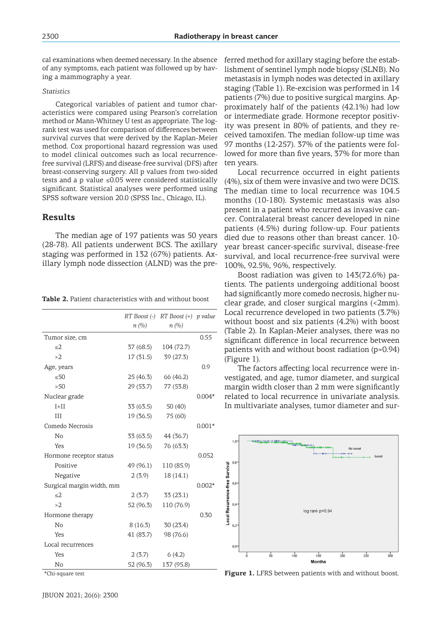cal examinations when deemed necessary. In the absence of any symptoms, each patient was followed up by having a mammography a year.

### *Statistics*

Categorical variables of patient and tumor characteristics were compared using Pearson's correlation method or Mann-Whitney U test as appropriate. The logrank test was used for comparison of differences between survival curves that were derived by the Kaplan-Meier method. Cox proportional hazard regression was used to model clinical outcomes such as local recurrencefree survival (LRFS) and disease-free survival (DFS) after breast-conserving surgery. All p values from two-sided tests and a p value ≤0.05 were considered statistically significant. Statistical analyses were performed using SPSS software version 20.0 (SPSS Inc., Chicago, IL).

### **Results**

The median age of 197 patients was 50 years (28-78). All patients underwent BCS. The axillary staging was performed in 132 (67%) patients. Axillary lymph node dissection (ALND) was the pre-

|                           |           | RT Boost $\left(\text{-}\right)$ RT Boost $\left(\text{+}\right)$ p value |          |
|---------------------------|-----------|---------------------------------------------------------------------------|----------|
|                           | n(%)      | n(%)                                                                      |          |
| Tumor size, cm            |           |                                                                           | 0.55     |
| $\leq$ 2                  | 37 (68.5) | 104 (72.7)                                                                |          |
| >2                        | 17(31.5)  | 39 (27.3)                                                                 |          |
| Age, years                |           |                                                                           | 0.9      |
| $\leq 50$                 | 25 (46.3) | 66 (46.2)                                                                 |          |
| >50                       | 29 (53.7) | 77 (53.8)                                                                 |          |
| Nuclear grade             |           |                                                                           | $0.004*$ |
| $I+II$                    | 33 (63.5) | 50(40)                                                                    |          |
| III                       | 19(36.5)  | 75 (60)                                                                   |          |
| Comedo Necrosis           |           |                                                                           | $0.001*$ |
| No                        | 33 (63.5) | 44 (36.7)                                                                 |          |
| Yes                       | 19(36.5)  | 76 (63.3)                                                                 |          |
| Hormone receptor status   |           |                                                                           | 0.052    |
| Positive                  | 49 (96.1) | 110 (85.9)                                                                |          |
| Negative                  | 2(3.9)    | 18(14.1)                                                                  |          |
| Surgical margin width, mm |           |                                                                           | $0.002*$ |
| $\leq$ 2                  | 2(3.7)    | 33(23.1)                                                                  |          |
| >2                        | 52 (96.3) | 110 (76.9)                                                                |          |
| Hormone therapy           |           |                                                                           | 0.30     |
| No                        | 8(16.3)   | 30(23.4)                                                                  |          |
| Yes                       | 41 (83.7) | 98 (76.6)                                                                 |          |
| Local recurrences         |           |                                                                           |          |
| Yes                       | 2(3.7)    | 6(4.2)                                                                    |          |
| No                        | 52 (96.3) | 137 (95.8)                                                                |          |

**Table 2.** Patient characteristics with and without boost

\*Chi-square test

ferred method for axillary staging before the establishment of sentinel lymph node biopsy (SLNB). No metastasis in lymph nodes was detected in axillary staging (Table 1). Re-excision was performed in 14 patients (7%) due to positive surgical margins. Approximately half of the patients (42.1%) had low or intermediate grade. Hormone receptor positivity was present in 80% of patients, and they received tamoxifen. The median follow-up time was 97 months (12-257). 37% of the patients were followed for more than five years, 37% for more than ten years.

Local recurrence occurred in eight patients (4%), six of them were invasive and two were DCIS. The median time to local recurrence was 104.5 months (10-180). Systemic metastasis was also present in a patient who recurred as invasive cancer. Contralateral breast cancer developed in nine patients (4.5%) during follow-up. Four patients died due to reasons other than breast cancer. 10 year breast cancer-specific survival, disease-free survival, and local recurrence-free survival were 100%, 92.5%, 96%, respectively.

Boost radiation was given to 143(72.6%) patients. The patients undergoing additional boost had significantly more comedo necrosis, higher nuclear grade, and closer surgical margins (<2mm). Local recurrence developed in two patients (3.7%) without boost and six patients (4.2%) with boost (Table 2). In Kaplan-Meier analyses, there was no significant difference in local recurrence between patients with and without boost radiation (p=0.94) (Figure 1).

The factors affecting local recurrence were investigated, and age, tumor diameter, and surgical margin width closer than 2 mm were significantly related to local recurrence in univariate analysis. In multivariate analyses, tumor diameter and sur-



Figure 1. LFRS between patients with and without boost.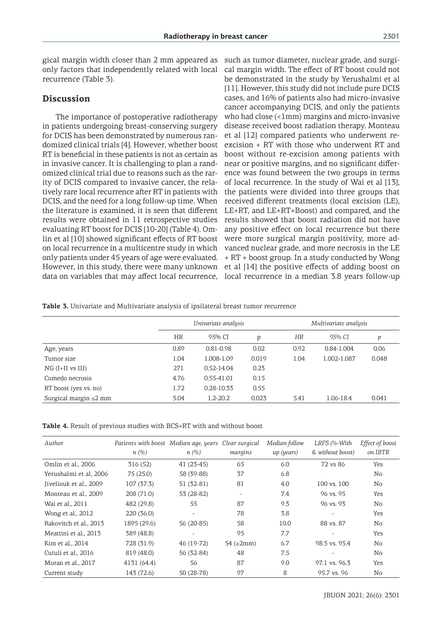gical margin width closer than 2 mm appeared as only factors that independently related with local recurrence (Table 3).

## **Discussion**

The importance of postoperative radiotherapy in patients undergoing breast-conserving surgery for DCIS has been demonstrated by numerous randomized clinical trials [4]. However, whether boost RT is beneficial in these patients is not as certain as in invasive cancer. It is challenging to plan a randomized clinical trial due to reasons such as the rarity of DCIS compared to invasive cancer, the relatively rare local recurrence after RT in patients with DCIS, and the need for a long follow-up time. When the literature is examined, it is seen that different results were obtained in 11 retrospective studies evaluating RT boost for DCIS [10-20] (Table 4). Omlin et al [10] showed significant effects of RT boost on local recurrence in a multicentre study in which only patients under 45 years of age were evaluated. However, in this study, there were many unknown data on variables that may affect local recurrence, local recurrence in a median 3.8 years follow-up

such as tumor diameter, nuclear grade, and surgical margin width. The effect of RT boost could not be demonstrated in the study by Yerushalmi et al [11]. However, this study did not include pure DCIS cases, and 16% of patients also had micro-invasive cancer accompanying DCIS, and only the patients who had close (<1mm) margins and micro-invasive disease received boost radiation therapy. Monteau et al [12] compared patients who underwent reexcision + RT with those who underwent RT and boost without re-excision among patients with near or positive margins, and no significant difference was found between the two groups in terms of local recurrence. In the study of Wai et al [13], the patients were divided into three groups that received different treatments (local excision (LE), LE+RT, and LE+RT+Boost) and compared, and the results showed that boost radiation did not have any positive effect on local recurrence but there were more surgical margin positivity, more advanced nuclear grade, and more necrosis in the LE + RT + boost group. In a study conducted by Wong et al [14] the positive effects of adding boost on

**Table 3.** Univariate and Multivariate analysis of ipsilateral breast tumor recurrence

|                             | Univariate analysis |                |       | Multivariate analysis |             |       |
|-----------------------------|---------------------|----------------|-------|-----------------------|-------------|-------|
|                             | <b>HR</b>           | 95% CI         | p     | <b>HR</b>             | 95% CI      | p     |
| Age, years                  | 0.89                | $0.81 - 0.98$  | 0.02  | 0.92                  | 0.84-1.004  | 0.06  |
| Tumor size                  | 1.04                | 1.008-1.09     | 0.019 | 1.04                  | 1.002-1.087 | 0.048 |
| $NG (I+II vs III)$          | 271                 | 0.52-14.04     | 0.23  |                       |             |       |
| Comedo necrosis             | 4.76                | $0.55 - 41.01$ | 0.15  |                       |             |       |
| RT boost (yes vs. no)       | 1.72                | 0.28-10.33     | 0.55  |                       |             |       |
| Surgical margin $\leq$ 2 mm | 5.04                | $1.2 - 20.2$   | 0.023 | 5.41                  | 1.06-18.4   | 0.041 |

| Table 4. Result of previous studies with BCS+RT with and without boost |  |
|------------------------------------------------------------------------|--|
|------------------------------------------------------------------------|--|

| Author                 | Patients with boost Median age, years<br>n(%) | n(%)        | Clear surgical<br>margins | Median follow<br>up (years) | LRFS (%-With<br>& without boost) | Effect of boost<br>on IBTR |
|------------------------|-----------------------------------------------|-------------|---------------------------|-----------------------------|----------------------------------|----------------------------|
| Omlin et al., 2006     | 316(52)                                       | $41(23-45)$ | 65                        | 6.0                         | 72 vs 86                         | <b>Yes</b>                 |
| Yerushalmi et al, 2006 | 75(25.0)                                      | 58 (39-88)  | 37                        | 6.8                         |                                  | No                         |
| Jiveliouk et al., 2009 | 107 (37.3)                                    | $51(32-81)$ | 81                        | 4.0                         | 100 vs. 100                      | No.                        |
| Monteau et al., 2009   | 208 (71.0)                                    | 53 (28-82)  | $\overline{\phantom{a}}$  | 7.4                         | 96 vs. 95                        | Yes                        |
| Wai et al., 2011       | 482 (29.8)                                    | 55          | 87                        | 9.3                         | 96 vs. 93                        | No.                        |
| Wong et al., 2012      | 220 (36.0)                                    |             | 78                        | 3.8                         |                                  | Yes                        |
| Rakovitch et al., 2013 | 1895 (29.6)                                   | $56(20-85)$ | 58                        | 10.0                        | 88 vs. 87                        | No.                        |
| Meattini et al., 2013  | 389 (48.8)                                    |             | 95                        | 7.7                         |                                  | Yes                        |
| Kim et al., 2014       | 728 (31.9)                                    | 46 (19-72)  | $54$ ( $\geq 2$ mm)       | 6.7                         | 98.5 vs. 95.4                    | No                         |
| Cutuli et al., 2016    | 819 (48.0)                                    | 56 (32-84)  | 48                        | 7.5                         |                                  | No                         |
| Moran et al., 2017     | 4131 (64.4)                                   | 56          | 87                        | 9.0                         | 97.1 vs. 96.3                    | Yes                        |
| Current study          | 143 (72.6)                                    | 50 (28-78)  | 97                        | 8                           | 95.7 vs. 96                      | No                         |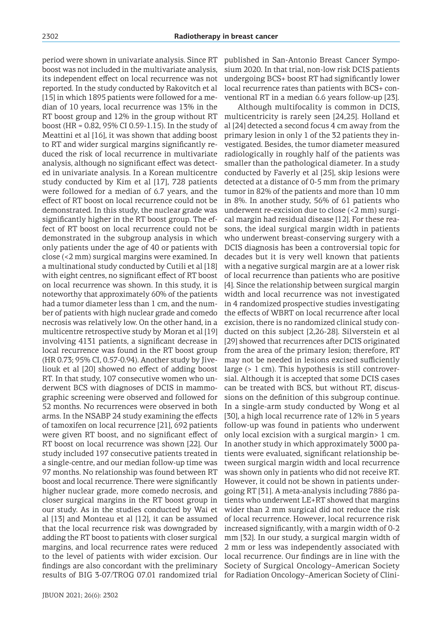period were shown in univariate analysis. Since RT boost was not included in the multivariate analysis, its independent effect on local recurrence was not reported. In the study conducted by Rakovitch et al [15] in which 1895 patients were followed for a median of 10 years, local recurrence was 13% in the RT boost group and 12% in the group without RT boost (HR = 0.82, 95% CI 0.59-1.15). In the study of Meattini et al [16], it was shown that adding boost to RT and wider surgical margins significantly reduced the risk of local recurrence in multivariate analysis, although no significant effect was detected in univariate analysis. In a Korean multicentre study conducted by Kim et al [17], 728 patients were followed for a median of 6.7 years, and the effect of RT boost on local recurrence could not be demonstrated. In this study, the nuclear grade was significantly higher in the RT boost group. The effect of RT boost on local recurrence could not be demonstrated in the subgroup analysis in which only patients under the age of 40 or patients with close (<2 mm) surgical margins were examined. In a multinational study conducted by Cutili et al [18] with eight centres, no significant effect of RT boost on local recurrence was shown. In this study, it is noteworthy that approximately 60% of the patients had a tumor diameter less than 1 cm, and the number of patients with high nuclear grade and comedo necrosis was relatively low. On the other hand, in a multicentre retrospective study by Moran et al [19] involving 4131 patients, a significant decrease in local recurrence was found in the RT boost group (HR 0.73; 95% CI, 0.57-0.94). Another study by Jiveliouk et al [20] showed no effect of adding boost RT. In that study, 107 consecutive women who underwent BCS with diagnoses of DCIS in mammographic screening were observed and followed for 52 months. No recurrences were observed in both arms. In the NSABP 24 study examining the effects of tamoxifen on local recurrence [21], 692 patients were given RT boost, and no significant effect of RT boost on local recurrence was shown [22]. Our study included 197 consecutive patients treated in a single-centre, and our median follow-up time was 97 months. No relationship was found between RT boost and local recurrence. There were significantly higher nuclear grade, more comedo necrosis, and closer surgical margins in the RT boost group in our study. As in the studies conducted by Wai et al [13] and Monteau et al [12], it can be assumed that the local recurrence risk was downgraded by adding the RT boost to patients with closer surgical margins, and local recurrence rates were reduced to the level of patients with wider excision. Our findings are also concordant with the preliminary

published in San-Antonio Breast Cancer Symposium 2020. In that trial, non-low risk DCIS patients undergoing BCS+ boost RT had significantly lower local recurrence rates than patients with BCS+ conventional RT in a median 6.6 years follow-up [23].

results of BIG 3-07/TROG 07.01 randomized trial for Radiation Oncology–American Society of Clini-Although multifocality is common in DCIS, multicentricity is rarely seen [24,25]. Holland et al [24] detected a second focus 4 cm away from the primary lesion in only 1 of the 32 patients they investigated. Besides, the tumor diameter measured radiologically in roughly half of the patients was smaller than the pathological diameter. In a study conducted by Faverly et al [25], skip lesions were detected at a distance of 0-5 mm from the primary tumor in 82% of the patients and more than 10 mm in 8%. In another study, 56% of 61 patients who underwent re-excision due to close (<2 mm) surgical margin had residual disease [12]. For these reasons, the ideal surgical margin width in patients who underwent breast-conserving surgery with a DCIS diagnosis has been a controversial topic for decades but it is very well known that patients with a negative surgical margin are at a lower risk of local recurrence than patients who are positive [4]. Since the relationship between surgical margin width and local recurrence was not investigated in 4 randomized prospective studies investigating the effects of WBRT on local recurrence after local excision, there is no randomized clinical study conducted on this subject [2,26-28]. Silverstein et al [29] showed that recurrences after DCIS originated from the area of the primary lesion; therefore, RT may not be needed in lesions excised sufficiently large (> 1 cm). This hypothesis is still controversial. Although it is accepted that some DCIS cases can be treated with BCS, but without RT, discussions on the definition of this subgroup continue. In a single-arm study conducted by Wong et al [30], a high local recurrence rate of 12% in 5 years follow-up was found in patients who underwent only local excision with a surgical margin> 1 cm. In another study in which approximately 3000 patients were evaluated, significant relationship between surgical margin width and local recurrence was shown only in patients who did not receive RT. However, it could not be shown in patients undergoing RT [31]. A meta-analysis including 7886 patients who underwent LE+RT showed that margins wider than 2 mm surgical did not reduce the risk of local recurrence. However, local recurrence risk increased significantly, with a margin width of 0-2 mm [32]. In our study, a surgical margin width of 2 mm or less was independently associated with local recurrence. Our findings are in line with the Society of Surgical Oncology–American Society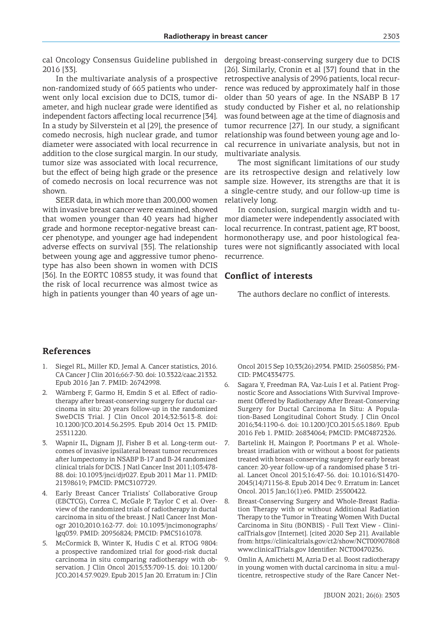2016 [33].

In the multivariate analysis of a prospective non-randomized study of 665 patients who underwent only local excision due to DCIS, tumor diameter, and high nuclear grade were identified as independent factors affecting local recurrence [34]. In a study by Silverstein et al [29], the presence of comedo necrosis, high nuclear grade, and tumor diameter were associated with local recurrence in addition to the close surgical margin. In our study, tumor size was associated with local recurrence, but the effect of being high grade or the presence of comedo necrosis on local recurrence was not shown.

SEER data, in which more than 200,000 women with invasive breast cancer were examined, showed that women younger than 40 years had higher grade and hormone receptor-negative breast cancer phenotype, and younger age had independent adverse effects on survival [35]. The relationship between young age and aggressive tumor phenotype has also been shown in women with DCIS [36]. In the EORTC 10853 study, it was found that the risk of local recurrence was almost twice as high in patients younger than 40 years of age un-

cal Oncology Consensus Guideline published in dergoing breast-conserving surgery due to DCIS [26]. Similarly, Cronin et al [37] found that in the retrospective analysis of 2996 patients, local recurrence was reduced by approximately half in those older than 50 years of age. In the NSABP B 17 study conducted by Fisher et al, no relationship was found between age at the time of diagnosis and tumor recurrence [27]. In our study, a significant relationship was found between young age and local recurrence in univariate analysis, but not in multivariate analysis.

> The most significant limitations of our study are its retrospective design and relatively low sample size. However, its strengths are that it is a single-centre study, and our follow-up time is relatively long.

> In conclusion, surgical margin width and tumor diameter were independently associated with local recurrence. In contrast, patient age, RT boost, hormonotherapy use, and poor histological features were not significantly associated with local recurrence.

### **Conflict of interests**

The authors declare no conflict of interests.

# **References**

- 1. Siegel RL, Miller KD, Jemal A. Cancer statistics, 2016. CA Cancer J Clin 2016;66:7-30. doi: 10.3322/caac.21332. Epub 2016 Jan 7. PMID: 26742998.
- Wärnberg F, Garmo H, Emdin S et al. Effect of radiotherapy after breast-conserving surgery for ductal carcinoma in situ: 20 years follow-up in the randomized SweDCIS Trial. J Clin Oncol 2014;32:3613-8. doi: 10.1200/JCO.2014.56.2595. Epub 2014 Oct 13. PMID: 25311220.
- 3. Wapnir IL, Dignam JJ, Fisher B et al. Long-term outcomes of invasive ipsilateral breast tumor recurrences after lumpectomy in NSABP B-17 and B-24 randomized clinical trials for DCIS. J Natl Cancer Inst 2011;103:478- 88. doi: 10.1093/jnci/djr027. Epub 2011 Mar 11. PMID: 21398619; PMCID: PMC3107729.
- 4. Early Breast Cancer Trialists' Collaborative Group (EBCTCG), Correa C, McGale P, Taylor C et al. Overview of the randomized trials of radiotherapy in ductal carcinoma in situ of the breast. J Natl Cancer Inst Monogr 2010;2010:162-77. doi: 10.1093/jncimonographs/ lgq039. PMID: 20956824; PMCID: PMC5161078.
- 5. McCormick B, Winter K, Hudis C et al. RTOG 9804: a prospective randomized trial for good-risk ductal carcinoma in situ comparing radiotherapy with observation. J Clin Oncol 2015;33:709-15. doi: 10.1200/ JCO.2014.57.9029. Epub 2015 Jan 20. Erratum in: J Clin

Oncol 2015 Sep 10;33(26):2934. PMID: 25605856; PM-CID: PMC4334775.

- 6. Sagara Y, Freedman RA, Vaz-Luis I et al. Patient Prognostic Score and Associations With Survival Improvement Offered by Radiotherapy After Breast-Conserving Surgery for Ductal Carcinoma In Situ: A Population-Based Longitudinal Cohort Study. J Clin Oncol 2016;34:1190-6. doi: 10.1200/JCO.2015.65.1869. Epub 2016 Feb 1. PMID: 26834064; PMCID: PMC4872326.
- 7. Bartelink H, Maingon P, Poortmans P et al. Wholebreast irradiation with or without a boost for patients treated with breast-conserving surgery for early breast cancer: 20-year follow-up of a randomised phase 3 trial. Lancet Oncol 2015;16:47-56. doi: 10.1016/S1470- 2045(14)71156-8. Epub 2014 Dec 9. Erratum in: Lancet Oncol. 2015 Jan;16(1):e6. PMID: 25500422.
- 8. Breast-Conserving Surgery and Whole-Breast Radiation Therapy with or without Additional Radiation Therapy to the Tumor in Treating Women With Ductal Carcinoma in Situ (BONBIS) - Full Text View - ClinicalTrials.gov [Internet]. [cited 2020 Sep 21]. Available from: https://clinicaltrials.gov/ct2/show/NCT00907868 www.clinicalTrials.gov Identifier: NCT00470236.
- 9. Omlin A, Amichetti M, Azria D et al. Boost radiotherapy in young women with ductal carcinoma in situ: a multicentre, retrospective study of the Rare Cancer Net-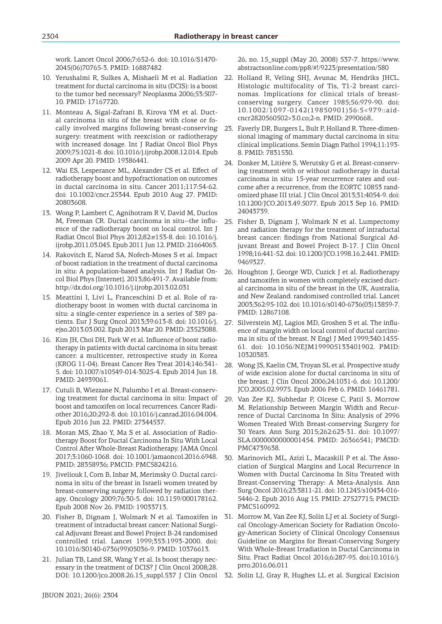work. Lancet Oncol 2006;7:652-6. doi: 10.1016/S1470- 2045(06)70765-3. PMID: 16887482

- 10. Yerushalmi R, Sulkes A, Mishaeli M et al. Radiation treatment for ductal carcinoma in situ (DCIS): is a boost to the tumor bed necessary? Neoplasma 2006;53:507- 10. PMID: 17167720.
- 11. Monteau A, Sigal-Zafrani B, Kirova YM et al. Ductal carcinoma in situ of the breast with close or focally involved margins following breast-conserving surgery: treatment with reexcision or radiotherapy with increased dosage. Int J Radiat Oncol Biol Phys 2009;75:1021-8. doi: 10.1016/j.ijrobp.2008.12.014. Epub 2009 Apr 20. PMID: 19386441.
- 12. Wai ES, Lesperance ML, Alexander CS et al. Effect of radiotherapy boost and hypofractionation on outcomes in ductal carcinoma in situ. Cancer 2011;117:54-62. doi: 10.1002/cncr.25344. Epub 2010 Aug 27. PMID: 20803608.
- 13. Wong P, Lambert C, Agnihotram R V, David M, Duclos M, Freeman CR. Ductal carcinoma in situ--the influence of the radiotherapy boost on local control. Int J Radiat Oncol Biol Phys 2012;82:e153-8. doi: 10.1016/j. ijrobp.2011.03.045. Epub 2011 Jun 12. PMID: 21664063.
- 14. Rakovitch E, Narod SA, Nofech-Moses S et al. Impact of boost radiation in the treatment of ductal carcinoma in situ: A population-based analysis. Int J Radiat Oncol Biol Phys [Internet]. 2013;86:491-7. Available from: http://dx.doi.org/10.1016/j.ijrobp.2013.02.031
- 15. Meattini I, Livi L, Franceschini D et al. Role of radiotherapy boost in women with ductal carcinoma in situ: a single-center experience in a series of 389 patients. Eur J Surg Oncol 2013;39:613-8. doi: 10.1016/j. ejso.2013.03.002. Epub 2013 Mar 20. PMID: 23523088.
- 16. Kim JH, Choi DH, Park W et al. Influence of boost radiotherapy in patients with ductal carcinoma in situ breast cancer: a multicenter, retrospective study in Korea (KROG 11-04). Breast Cancer Res Treat 2014;146:341- 5. doi: 10.1007/s10549-014-3025-4. Epub 2014 Jun 18. PMID: 24939061.
- 17. Cutuli B, Wiezzane N, Palumbo I et al. Breast-conserving treatment for ductal carcinoma in situ: Impact of boost and tamoxifen on local recurrences. Cancer Radiother 2016;20:292-8. doi: 10.1016/j.canrad.2016.04.004. Epub 2016 Jun 22. PMID: 27344537.
- 18. Moran MS, Zhao Y, Ma S et al. Association of Radiotherapy Boost for Ductal Carcinoma In Situ With Local Control After Whole-Breast Radiotherapy. JAMA Oncol 2017;3:1060-1068. doi: 10.1001/jamaoncol.2016.6948. PMID: 28358936; PMCID: PMC5824216.
- 19. Jiveliouk I, Corn B, Inbar M, Merimsky O. Ductal carcinoma in situ of the breast in Israeli women treated by breast-conserving surgery followed by radiation therapy. Oncology 2009;76:30-5. doi: 10.1159/000178162. Epub 2008 Nov 26. PMID: 19033713.
- 20. Fisher B, Dignam J, Wolmark N et al. Tamoxifen in treatment of intraductal breast cancer: National Surgical Adjuvant Breast and Bowel Project B-24 randomised controlled trial. Lancet 1999;353:1993-2000. doi: 10.1016/S0140-6736(99)05036-9. PMID: 10376613.
- 21. Julian TB, Land SR, Wang Y et al. Is boost therapy necessary in the treatment of DCIS? J Clin Oncol 2008;28.

26, no. 15\_suppl (May 20, 2008) 537-7. https://www. abstractsonline.com/pp8/#!/9223/presentation/580

- 22. Holland R, Veling SHJ, Avunac M, Hendriks JHCL. Histologic multifocality of Tis, T1-2 breast carcinomas. Implications for clinical trials of breastconserving surgery. Cancer 1985;56:979-90. doi: 10.1002/1097-0142(19850901)56:5<979::aidcncr2820560502>3.0.co;2-n. PMID: 2990668..
- 23. Faverly DR, Burgers L, Bult P, Holland R. Three-dimensional imaging of mammary ductal carcinoma in situ: clinical implications. Semin Diagn Pathol 1994;11:193- 8. PMID: 7831530.
- 24. Donker M, Litière S, Werutsky G et al. Breast-conserving treatment with or without radiotherapy in ductal carcinoma in situ: 15-year recurrence rates and outcome after a recurrence, from the EORTC 10853 randomized phase III trial. J Clin Oncol 2013;31:4054-9. doi: 10.1200/JCO.2013.49.5077. Epub 2013 Sep 16. PMID: 24043739.
- 25. Fisher B, Dignam J, Wolmark N et al. Lumpectomy and radiation therapy for the treatment of intraductal breast cancer: findings from National Surgical Adjuvant Breast and Bowel Project B-17. J Clin Oncol 1998;16:441-52. doi: 10.1200/JCO.1998.16.2.441. PMID: 9469327.
- 26. Houghton J, George WD, Cuzick J et al. Radiotherapy and tamoxifen in women with completely excised ductal carcinoma in situ of the breast in the UK, Australia, and New Zealand: randomised controlled trial. Lancet 2003;362:95-102. doi: 10.1016/s0140-6736(03)13859-7. PMID: 12867108.
- 27. Silverstein MJ, Lagios MD, Groshen S et al. The influence of margin width on local control of ductal carcinoma in situ of the breast. N Engl J Med 1999;340:1455- 61. doi: 10.1056/NEJM199905133401902. PMID: 10320383.
- 28. Wong JS, Kaelin CM, Troyan SL et al. Prospective study of wide excision alone for ductal carcinoma in situ of the breast. J Clin Oncol 2006;24:1031-6. doi: 10.1200/ JCO.2005.02.9975. Epub 2006 Feb 6. PMID: 16461781.
- 29. Van Zee KJ, Subhedar P, Olcese C, Patil S, Morrow M. Relationship Between Margin Width and Recurrence of Ductal Carcinoma In Situ: Analysis of 2996 Women Treated With Breast-conserving Surgery for 30 Years. Ann Surg 2015;262:623-31. doi: 10.1097/ SLA.0000000000001454. PMID: 26366541; PMCID: PMC4739638.
- 30. Marinovich ML, Azizi L, Macaskill P et al. The Association of Surgical Margins and Local Recurrence in Women with Ductal Carcinoma In Situ Treated with Breast-Conserving Therapy: A Meta-Analysis. Ann Surg Oncol 2016;23:3811-21. doi: 10.1245/s10434-016- 5446-2. Epub 2016 Aug 15. PMID: 27527715; PMCID: PMC5160992.
- 31. Morrow M, Van Zee KJ, Solin LJ et al. Society of Surgical Oncology-American Society for Radiation Oncology-American Society of Clinical Oncology Consensus Guideline on Margins for Breast-Conserving Surgery With Whole-Breast Irradiation in Ductal Carcinoma in Situ. Pract Radiat Oncol 2016;6:287-95. doi:10.1016/j. prro.2016.06.011
- DOI: 10.1200/jco.2008.26.15\_suppl.537 J Clin Oncol 32. Solin LJ, Gray R, Hughes LL et al. Surgical Excision